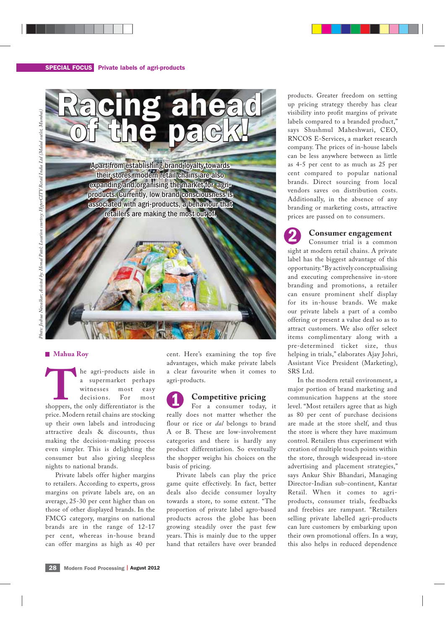

### **Mahua Roy**

**THE AGE ASSEMBED ASSEMBED ASSESS**<br> **THE AGE ASSESS**<br> **THE AGE ASSESS**<br> **THE AGE ASSESS**<br> **THE AGE ASSESS**<br> **THE AGE ASSESS**<br> **THE AGE ASSESS**<br> **THE AGE ASSESS**<br> **THE AGE ASSESS**<br> **THE AGE ASSESS**<br> **THE AGE ASSESS**<br> **THE A** a supermarket perhaps witnesses most easy decisions. For most price. Modern retail chains are stocking up their own labels and introducing attractive deals & discounts, thus making the decision-making process even simpler. This is delighting the consumer but also giving sleepless nights to national brands.

Private labels offer higher margins to retailers. According to experts, gross margins on private labels are, on an average, 25-30 per cent higher than on those of other displayed brands. In the FMCG category, margins on national brands are in the range of 12-17 per cent, whereas in-house brand can offer margins as high as 40 per cent. Here's examining the top five advantages, which make private labels a clear favourite when it comes to agri-products.

# **Competitive pricing**

For a consumer today, it really does not matter whether the flour or rice or *dal* belongs to brand A or B. These are low-involvement categories and there is hardly any product differentiation. So eventually the shopper weighs his choices on the basis of pricing. 1

Private labels can play the price game quite effectively. In fact, better deals also decide consumer loyalty towards a store, to some extent. "The proportion of private label agro-based products across the globe has been growing steadily over the past few years. This is mainly due to the upper hand that retailers have over branded

products. Greater freedom on setting up pricing strategy thereby has clear visibility into profit margins of private labels compared to a branded product," says Shushmul Maheshwari, CEO, RNCOS E-Services, a market research company. The prices of in-house labels can be less anywhere between as little as 4-5 per cent to as much as 25 per cent compared to popular national brands. Direct sourcing from local vendors saves on distribution costs. Additionally, in the absence of any branding or marketing costs, attractive prices are passed on to consumers.

## **Consumer engagement**

Consumer trial is a common sight at modern retail chains. A private label has the biggest advantage of this opportunity. "By actively conceptualising and executing comprehensive in-store branding and promotions, a retailer can ensure prominent shelf display for its in-house brands. We make our private labels a part of a combo offering or present a value deal so as to attract customers. We also offer select items complimentary along with a pre-determined ticket size, thus helping in trials," elaborates Ajay Johri, Assistant Vice President (Marketing), SRS Ltd. 2

In the modern retail environment, a major portion of brand marketing and communication happens at the store level. "Most retailers agree that as high as 80 per cent of purchase decisions are made at the store shelf, and thus the store is where they have maximum control. Retailers thus experiment with creation of multiple touch points within the store, through widespread in-store advertising and placement strategies," says Ankur Shiv Bhandari, Managing Director-Indian sub-continent, Kantar Retail. When it comes to agriproducts, consumer trials, feedbacks and freebies are rampant. "Retailers selling private labelled agri-products can lure customers by embarking upon their own promotional offers. In a way, this also helps in reduced dependence